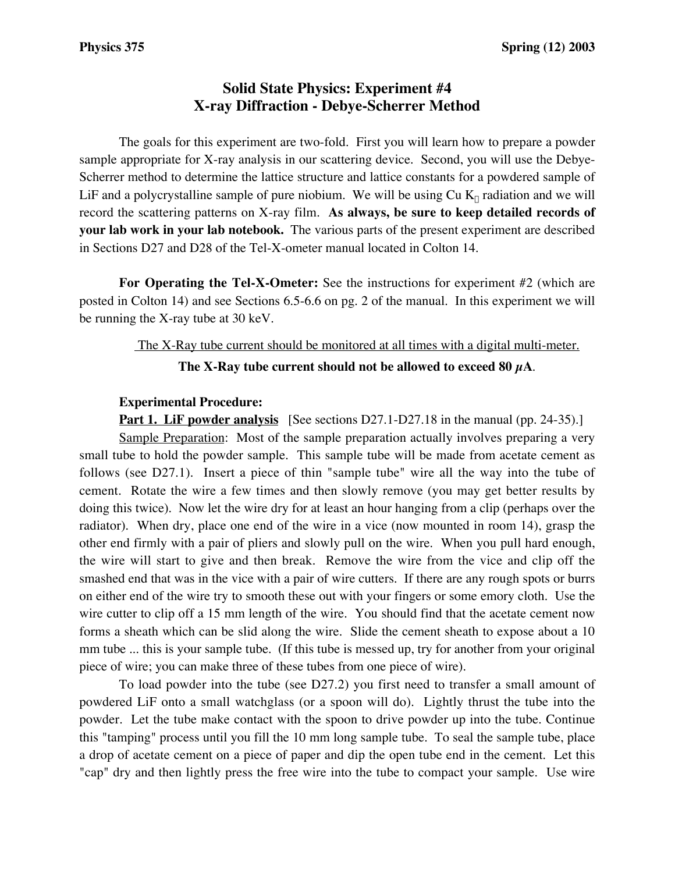# **Solid State Physics: Experiment #4 X-ray Diffraction - Debye-Scherrer Method**

The goals for this experiment are two-fold. First you will learn how to prepare a powder sample appropriate for X-ray analysis in our scattering device. Second, you will use the Debye-Scherrer method to determine the lattice structure and lattice constants for a powdered sample of LiF and a polycrystalline sample of pure niobium. We will be using  $Cu K<sub>o</sub>$  radiation and we will record the scattering patterns on X-ray film. **As always, be sure to keep detailed records of your lab work in your lab notebook.** The various parts of the present experiment are described in Sections D27 and D28 of the Tel-X-ometer manual located in Colton 14.

**For Operating the Tel-X-Ometer:** See the instructions for experiment #2 (which are posted in Colton 14) and see Sections 6.5-6.6 on pg. 2 of the manual. In this experiment we will be running the X-ray tube at 30 keV.

# The X-Ray tube current should be monitored at all times with a digital multi-meter.

# **The X-Ray tube current should not be allowed to exceed 80 µA**.

# **Experimental Procedure:**

**Part 1. LiF powder analysis** [See sections D27.1-D27.18 in the manual (pp. 24-35).]

Sample Preparation: Most of the sample preparation actually involves preparing a very small tube to hold the powder sample. This sample tube will be made from acetate cement as follows (see D27.1). Insert a piece of thin "sample tube" wire all the way into the tube of cement. Rotate the wire a few times and then slowly remove (you may get better results by doing this twice). Now let the wire dry for at least an hour hanging from a clip (perhaps over the radiator). When dry, place one end of the wire in a vice (now mounted in room 14), grasp the other end firmly with a pair of pliers and slowly pull on the wire. When you pull hard enough, the wire will start to give and then break. Remove the wire from the vice and clip off the smashed end that was in the vice with a pair of wire cutters. If there are any rough spots or burrs on either end of the wire try to smooth these out with your fingers or some emory cloth. Use the wire cutter to clip off a 15 mm length of the wire. You should find that the acetate cement now forms a sheath which can be slid along the wire. Slide the cement sheath to expose about a 10 mm tube ... this is your sample tube. (If this tube is messed up, try for another from your original piece of wire; you can make three of these tubes from one piece of wire).

To load powder into the tube (see D27.2) you first need to transfer a small amount of powdered LiF onto a small watchglass (or a spoon will do). Lightly thrust the tube into the powder. Let the tube make contact with the spoon to drive powder up into the tube. Continue this "tamping" process until you fill the 10 mm long sample tube. To seal the sample tube, place a drop of acetate cement on a piece of paper and dip the open tube end in the cement. Let this "cap" dry and then lightly press the free wire into the tube to compact your sample. Use wire